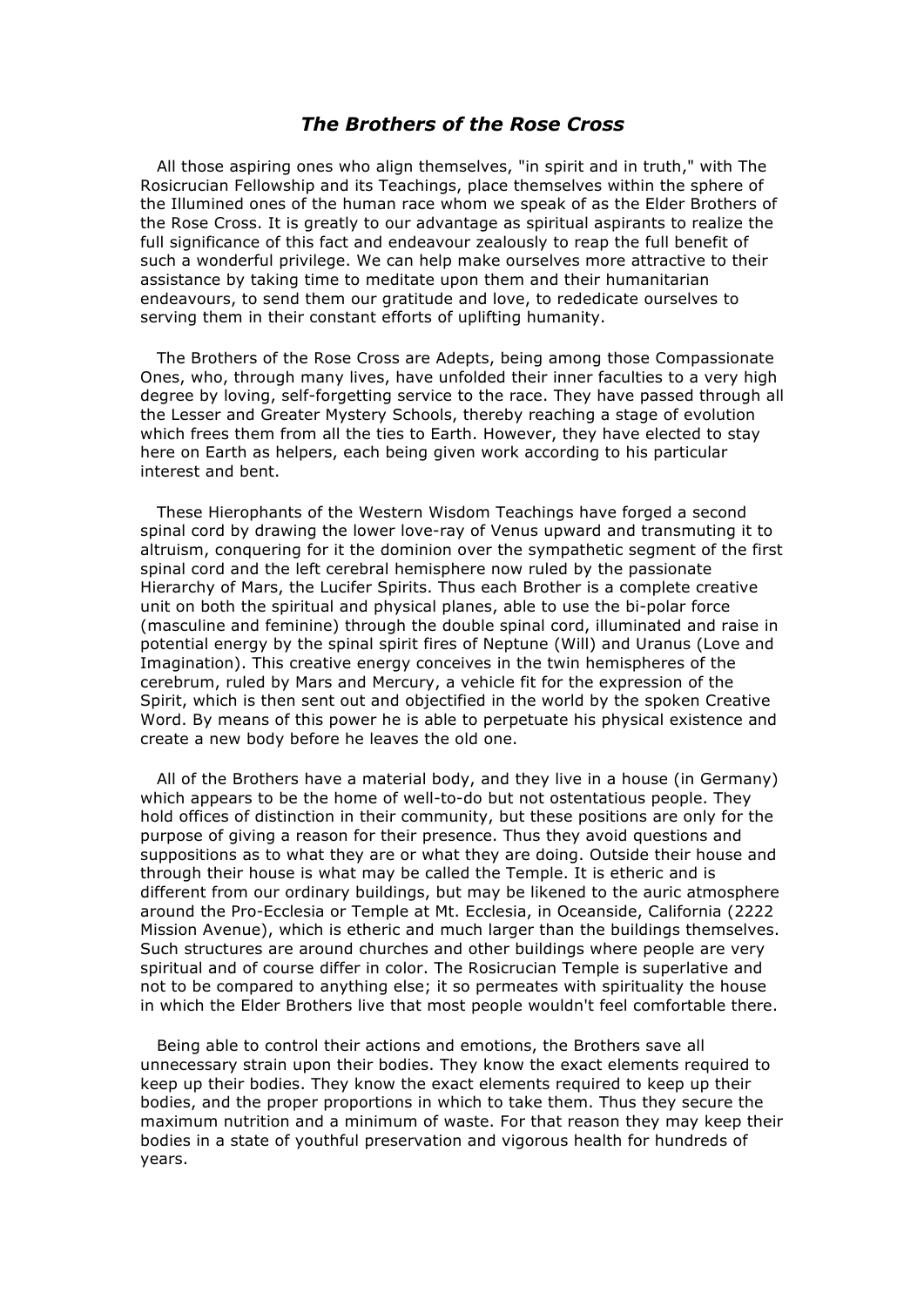## *The Brothers of the Rose Cross*

All those aspiring ones who align themselves, "in spirit and in truth," with The Rosicrucian Fellowship and its Teachings, place themselves within the sphere of the Illumined ones of the human race whom we speak of as the Elder Brothers of the Rose Cross. It is greatly to our advantage as spiritual aspirants to realize the full significance of this fact and endeavour zealously to reap the full benefit of such a wonderful privilege. We can help make ourselves more attractive to their assistance by taking time to meditate upon them and their humanitarian endeavours, to send them our gratitude and love, to rededicate ourselves to serving them in their constant efforts of uplifting humanity.

The Brothers of the Rose Cross are Adepts, being among those Compassionate Ones, who, through many lives, have unfolded their inner faculties to a very high degree by loving, self-forgetting service to the race. They have passed through all the Lesser and Greater Mystery Schools, thereby reaching a stage of evolution which frees them from all the ties to Earth. However, they have elected to stay here on Earth as helpers, each being given work according to his particular interest and bent.

These Hierophants of the Western Wisdom Teachings have forged a second spinal cord by drawing the lower love-ray of Venus upward and transmuting it to altruism, conquering for it the dominion over the sympathetic segment of the first spinal cord and the left cerebral hemisphere now ruled by the passionate Hierarchy of Mars, the Lucifer Spirits. Thus each Brother is a complete creative unit on both the spiritual and physical planes, able to use the bi-polar force (masculine and feminine) through the double spinal cord, illuminated and raise in potential energy by the spinal spirit fires of Neptune (Will) and Uranus (Love and Imagination). This creative energy conceives in the twin hemispheres of the cerebrum, ruled by Mars and Mercury, a vehicle fit for the expression of the Spirit, which is then sent out and objectified in the world by the spoken Creative Word. By means of this power he is able to perpetuate his physical existence and create a new body before he leaves the old one.

All of the Brothers have a material body, and they live in a house (in Germany) which appears to be the home of well-to-do but not ostentatious people. They hold offices of distinction in their community, but these positions are only for the purpose of giving a reason for their presence. Thus they avoid questions and suppositions as to what they are or what they are doing. Outside their house and through their house is what may be called the Temple. It is etheric and is different from our ordinary buildings, but may be likened to the auric atmosphere around the Pro-Ecclesia or Temple at Mt. Ecclesia, in Oceanside, California (2222 Mission Avenue), which is etheric and much larger than the buildings themselves. Such structures are around churches and other buildings where people are very spiritual and of course differ in color. The Rosicrucian Temple is superlative and not to be compared to anything else; it so permeates with spirituality the house in which the Elder Brothers live that most people wouldn't feel comfortable there.

Being able to control their actions and emotions, the Brothers save all unnecessary strain upon their bodies. They know the exact elements required to keep up their bodies. They know the exact elements required to keep up their bodies, and the proper proportions in which to take them. Thus they secure the maximum nutrition and a minimum of waste. For that reason they may keep their bodies in a state of youthful preservation and vigorous health for hundreds of years.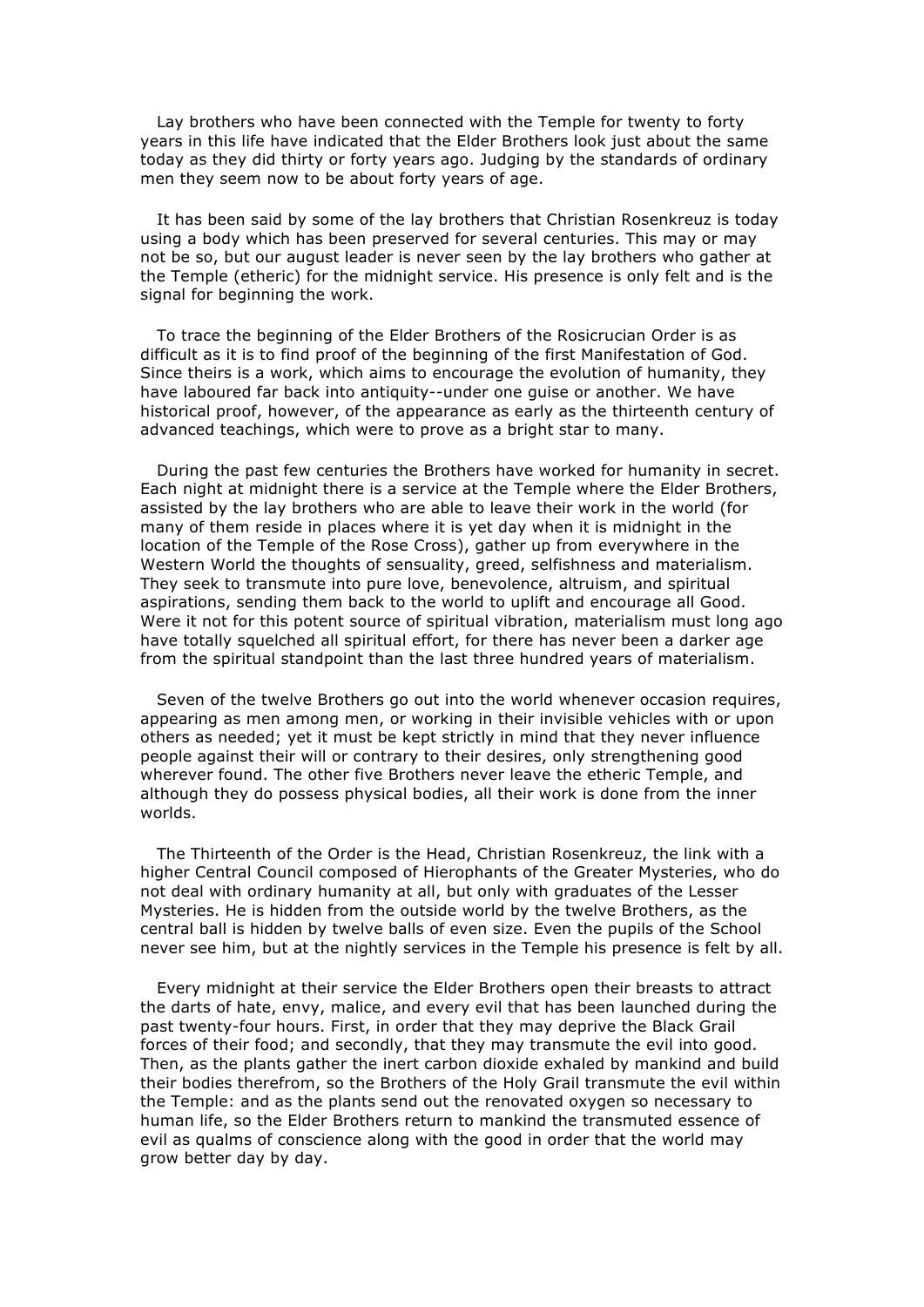Lay brothers who have been connected with the Temple for twenty to forty years in this life have indicated that the Elder Brothers look just about the same today as they did thirty or forty years ago. Judging by the standards of ordinary men they seem now to be about forty years of age.

It has been said by some of the lay brothers that Christian Rosenkreuz is today using a body which has been preserved for several centuries. This may or may not be so, but our august leader is never seen by the lay brothers who gather at the Temple (etheric) for the midnight service. His presence is only felt and is the signal for beginning the work.

To trace the beginning of the Elder Brothers of the Rosicrucian Order is as difficult as it is to find proof of the beginning of the first Manifestation of God. Since theirs is a work, which aims to encourage the evolution of humanity, they have laboured far back into antiquity--under one guise or another. We have historical proof, however, of the appearance as early as the thirteenth century of advanced teachings, which were to prove as a bright star to many.

During the past few centuries the Brothers have worked for humanity in secret. Each night at midnight there is a service at the Temple where the Elder Brothers, assisted by the lay brothers who are able to leave their work in the world (for many of them reside in places where it is yet day when it is midnight in the location of the Temple of the Rose Cross), gather up from everywhere in the Western World the thoughts of sensuality, greed, selfishness and materialism. They seek to transmute into pure love, benevolence, altruism, and spiritual aspirations, sending them back to the world to uplift and encourage all Good. Were it not for this potent source of spiritual vibration, materialism must long ago have totally squelched all spiritual effort, for there has never been a darker age from the spiritual standpoint than the last three hundred years of materialism.

Seven of the twelve Brothers go out into the world whenever occasion requires, appearing as men among men, or working in their invisible vehicles with or upon others as needed; yet it must be kept strictly in mind that they never influence people against their will or contrary to their desires, only strengthening good wherever found. The other five Brothers never leave the etheric Temple, and although they do possess physical bodies, all their work is done from the inner worlds.

The Thirteenth of the Order is the Head, Christian Rosenkreuz, the link with a higher Central Council composed of Hierophants of the Greater Mysteries, who do not deal with ordinary humanity at all, but only with graduates of the Lesser Mysteries. He is hidden from the outside world by the twelve Brothers, as the central ball is hidden by twelve balls of even size. Even the pupils of the School never see him, but at the nightly services in the Temple his presence is felt by all.

Every midnight at their service the Elder Brothers open their breasts to attract the darts of hate, envy, malice, and every evil that has been launched during the past twenty-four hours. First, in order that they may deprive the Black Grail forces of their food; and secondly, that they may transmute the evil into good. Then, as the plants gather the inert carbon dioxide exhaled by mankind and build their bodies therefrom, so the Brothers of the Holy Grail transmute the evil within the Temple: and as the plants send out the renovated oxygen so necessary to human life, so the Elder Brothers return to mankind the transmuted essence of evil as qualms of conscience along with the good in order that the world may grow better day by day.